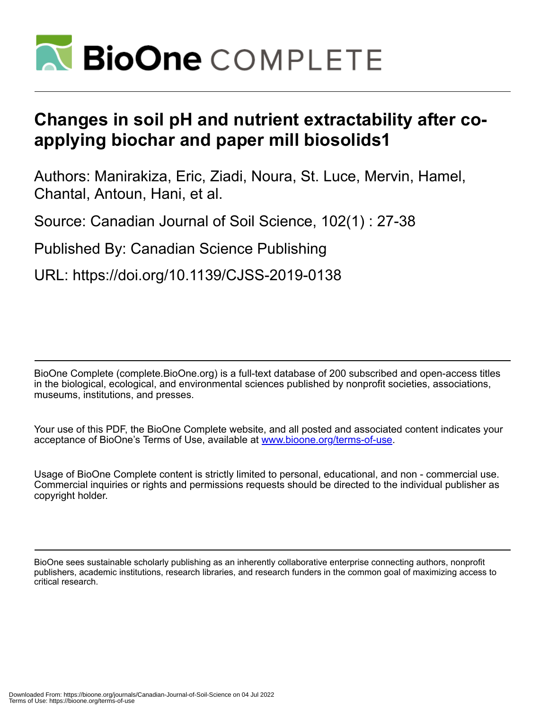

# **Changes in soil pH and nutrient extractability after coapplying biochar and paper mill biosolids1**

Authors: Manirakiza, Eric, Ziadi, Noura, St. Luce, Mervin, Hamel, Chantal, Antoun, Hani, et al.

Source: Canadian Journal of Soil Science, 102(1) : 27-38

Published By: Canadian Science Publishing

URL: https://doi.org/10.1139/CJSS-2019-0138

BioOne Complete (complete.BioOne.org) is a full-text database of 200 subscribed and open-access titles in the biological, ecological, and environmental sciences published by nonprofit societies, associations, museums, institutions, and presses.

Your use of this PDF, the BioOne Complete website, and all posted and associated content indicates your acceptance of BioOne's Terms of Use, available at www.bioone.org/terms-of-use.

Usage of BioOne Complete content is strictly limited to personal, educational, and non - commercial use. Commercial inquiries or rights and permissions requests should be directed to the individual publisher as copyright holder.

BioOne sees sustainable scholarly publishing as an inherently collaborative enterprise connecting authors, nonprofit publishers, academic institutions, research libraries, and research funders in the common goal of maximizing access to critical research.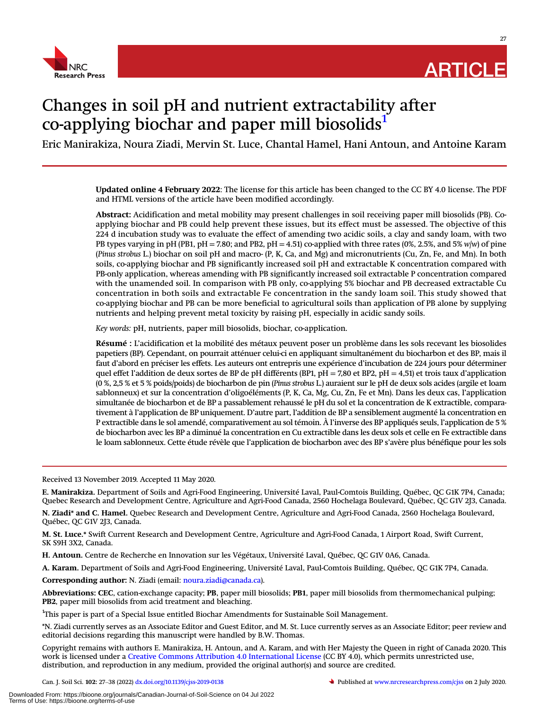

27

# Changes in soil pH and nutrient extractability after co-applying biochar and paper mill biosolids<sup>1</sup>

Eric Manirakiza, Noura Ziadi, Mervin St. Luce, Chantal Hamel, Hani Antoun, and Antoine Karam

Updated online 4 February 2022: The license for this article has been changed to the CC BY 4.0 license. The PDF and HTML versions of the article have been modified accordingly.

Abstract: Acidification and metal mobility may present challenges in soil receiving paper mill biosolids (PB). Coapplying biochar and PB could help prevent these issues, but its effect must be assessed. The objective of this 224 d incubation study was to evaluate the effect of amending two acidic soils, a clay and sandy loam, with two PB types varying in pH (PB1, pH = 7.80; and PB2, pH = 4.51) co-applied with three rates (0%, 2.5%, and 5%  $w/w$ ) of pine (Pinus strobus L.) biochar on soil pH and macro- (P, K, Ca, and Mg) and micronutrients (Cu, Zn, Fe, and Mn). In both soils, co-applying biochar and PB significantly increased soil pH and extractable K concentration compared with PB-only application, whereas amending with PB significantly increased soil extractable P concentration compared with the unamended soil. In comparison with PB only, co-applying 5% biochar and PB decreased extractable Cu concentration in both soils and extractable Fe concentration in the sandy loam soil. This study showed that co-applying biochar and PB can be more beneficial to agricultural soils than application of PB alone by supplying nutrients and helping prevent metal toxicity by raising pH, especially in acidic sandy soils.

Key words: pH, nutrients, paper mill biosolids, biochar, co-application.

Résumé : L'acidification et la mobilité des métaux peuvent poser un problème dans les sols recevant les biosolides papetiers (BP). Cependant, on pourrait atténuer celui-ci en appliquant simultanément du biocharbon et des BP, mais il faut d'abord en préciser les effets. Les auteurs ont entrepris une expérience d'incubation de 224 jours pour déterminer quel effet l'addition de deux sortes de BP de pH différents (BP1, pH = 7,80 et BP2, pH = 4,51) et trois taux d'application (0 %, 2,5 % et 5 % poids/poids) de biocharbon de pin (Pinus strobus L.) auraient sur le pH de deux sols acides (argile et loam sablonneux) et sur la concentration d'oligoéléments (P, K, Ca, Mg, Cu, Zn, Fe et Mn). Dans les deux cas, l'application simultanée de biocharbon et de BP a passablement rehaussé le pH du sol et la concentration de K extractible, comparativement à l'application de BP uniquement. D'autre part, l'addition de BP a sensiblement augmenté la concentration en P extractible dans le sol amendé, comparativement au sol témoin. À l'inverse des BP appliqués seuls, l'application de 5 % de biocharbon avec les BP a diminué la concentration en Cu extractible dans les deux sols et celle en Fe extractible dans le loam sablonneux. Cette étude révèle que l'application de biocharbon avec des BP s'avère plus bénéfique pour les sols

Received 13 November 2019. Accepted 11 May 2020.

E. Manirakiza. Department of Soils and Agri-Food Engineering, Université Laval, Paul-Comtois Building, Québec, QC G1K 7P4, Canada; Quebec Research and Development Centre, Agriculture and Agri-Food Canada, 2560 Hochelaga Boulevard, Québec, QC G1V 2J3, Canada.

N. Ziadi\* and C. Hamel. Quebec Research and Development Centre, Agriculture and Agri-Food Canada, 2560 Hochelaga Boulevard, Québec, QC G1V 2J3, Canada.

M. St. Luce.\* Swift Current Research and Development Centre, Agriculture and Agri-Food Canada, 1 Airport Road, Swift Current, SK S9H 3X2, Canada.

H. Antoun. Centre de Recherche en Innovation sur les Végétaux, Université Laval, Québec, QC G1V 0A6, Canada.

A. Karam. Department of Soils and Agri-Food Engineering, Université Laval, Paul-Comtois Building, Québec, QC G1K 7P4, Canada.

Corresponding author: N. Ziadi (email: [noura.ziadi@canada.ca](mailto:noura.ziadi@canada.ca)).

Abbreviations: CEC, cation-exchange capacity; PB, paper mill biosolids; PB1, paper mill biosolids from thermomechanical pulping; PB2, paper mill biosolids from acid treatment and bleaching.

<span id="page-1-0"></span><sup>1</sup>This paper is part of a Special Issue entitled Biochar Amendments for Sustainable Soil Management.

\*N. Ziadi currently serves as an Associate Editor and Guest Editor, and M. St. Luce currently serves as an Associate Editor; peer review and editorial decisions regarding this manuscript were handled by B.W. Thomas.

Copyright remains with authors E. Manirakiza, H. Antoun, and A. Karam, and with Her Majesty the Queen in right of Canada 2020. This work is licensed under a [Creative Commons Attribution 4.0 International License](http://creativecommons.org/licenses/by/4.0/deed.en_GB) (CC BY 4.0), which permits unrestricted use,<br>distribution, and reproduction in any medium, provided the original author(s) and source are cre distribution, and reproduction in any medium, provided the original author(s) and source are credited.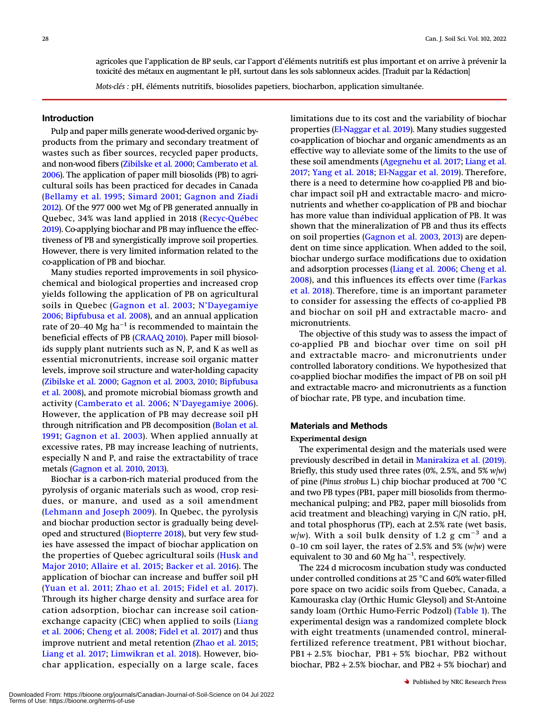agricoles que l'application de BP seuls, car l'apport d'éléments nutritifs est plus important et on arrive à prévenir la toxicité des métaux en augmentant le pH, surtout dans les sols sablonneux acides. [Traduit par la Rédaction]

Mots-clés : pH, éléments nutritifs, biosolides papetiers, biocharbon, application simultanée.

# Introduction

Pulp and paper mills generate wood-derived organic byproducts from the primary and secondary treatment of wastes such as fiber sources, recycled paper products, and non-wood fibers [\(Zibilske et al. 2000;](#page-12-0) [Camberato et al.](#page-10-0) [2006](#page-10-0)). The application of paper mill biosolids (PB) to agricultural soils has been practiced for decades in Canada ([Bellamy et al. 1995;](#page-10-1) [Simard 2001;](#page-12-1) [Gagnon and Ziadi](#page-11-0) [2012\)](#page-11-0). Of the 977 000 wet Mg of PB generated annually in Quebec, 34% was land applied in 2018 ([Recyc-Québec](#page-12-2) [2019\)](#page-12-2). Co-applying biochar and PB may influence the effectiveness of PB and synergistically improve soil properties. However, there is very limited information related to the co-application of PB and biochar.

Many studies reported improvements in soil physicochemical and biological properties and increased crop yields following the application of PB on agricultural soils in Quebec ([Gagnon et al. 2003;](#page-11-1) N'[Dayegamiye](#page-12-3) [2006;](#page-12-3) [Bipfubusa et al. 2008\)](#page-10-2), and an annual application rate of 20–40 Mg ha<sup> $-1$ </sup> is recommended to maintain the beneficial effects of PB ([CRAAQ 2010\)](#page-10-3). Paper mill biosolids supply plant nutrients such as N, P, and K as well as essential micronutrients, increase soil organic matter levels, improve soil structure and water-holding capacity ([Zibilske et al. 2000](#page-12-0); [Gagnon et al. 2003,](#page-11-1) [2010;](#page-11-2) [Bipfubusa](#page-10-2) [et al. 2008\)](#page-10-2), and promote microbial biomass growth and activity ([Camberato et al. 2006](#page-10-0); N'[Dayegamiye 2006\)](#page-12-3). However, the application of PB may decrease soil pH through nitrification and PB decomposition [\(Bolan et al.](#page-10-4) [1991;](#page-10-4) [Gagnon et al. 2003](#page-11-1)). When applied annually at excessive rates, PB may increase leaching of nutrients, especially N and P, and raise the extractability of trace metals ([Gagnon et al. 2010,](#page-11-2) [2013](#page-11-3)).

Biochar is a carbon-rich material produced from the pyrolysis of organic materials such as wood, crop residues, or manure, and used as a soil amendment ([Lehmann and Joseph 2009\)](#page-11-4). In Quebec, the pyrolysis and biochar production sector is gradually being developed and structured [\(Biopterre 2018\)](#page-10-5), but very few studies have assessed the impact of biochar application on the properties of Quebec agricultural soils ([Husk and](#page-11-5) [Major 2010](#page-11-5); [Allaire et al. 2015;](#page-10-6) [Backer et al. 2016\)](#page-10-7). The application of biochar can increase and buffer soil pH ([Yuan et al. 2011](#page-12-4); [Zhao et al. 2015;](#page-12-5) [Fidel et al. 2017\)](#page-11-6). Through its higher charge density and surface area for cation adsorption, biochar can increase soil cationexchange capacity (CEC) when applied to soils ([Liang](#page-11-7) [et al. 2006;](#page-11-7) [Cheng et al. 2008](#page-10-8); [Fidel et al. 2017\)](#page-11-6) and thus improve nutrient and metal retention ([Zhao et al. 2015](#page-12-5); [Liang et al. 2017](#page-11-8); [Limwikran et al. 2018](#page-11-9)). However, biochar application, especially on a large scale, faces

limitations due to its cost and the variability of biochar properties ([El-Naggar et al. 2019\)](#page-11-10). Many studies suggested co-application of biochar and organic amendments as an effective way to alleviate some of the limits to the use of these soil amendments [\(Agegnehu et al. 2017](#page-10-9); [Liang et al.](#page-11-8) [2017](#page-11-8); [Yang et al. 2018](#page-12-6); [El-Naggar et al. 2019\)](#page-11-10). Therefore, there is a need to determine how co-applied PB and biochar impact soil pH and extractable macro- and micronutrients and whether co-application of PB and biochar has more value than individual application of PB. It was shown that the mineralization of PB and thus its effects on soil properties ([Gagnon et al. 2003,](#page-11-1) [2013\)](#page-11-3) are dependent on time since application. When added to the soil, biochar undergo surface modifications due to oxidation and adsorption processes [\(Liang et al. 2006](#page-11-7); [Cheng et al.](#page-10-8) [2008](#page-10-8)), and this influences its effects over time ([Farkas](#page-11-11) [et al. 2018](#page-11-11)). Therefore, time is an important parameter to consider for assessing the effects of co-applied PB and biochar on soil pH and extractable macro- and micronutrients.

The objective of this study was to assess the impact of co-applied PB and biochar over time on soil pH and extractable macro- and micronutrients under controlled laboratory conditions. We hypothesized that co-applied biochar modifies the impact of PB on soil pH and extractable macro- and micronutrients as a function of biochar rate, PB type, and incubation time.

#### Materials and Methods

#### Experimental design

The experimental design and the materials used were previously described in detail in [Manirakiza et al. \(2019\).](#page-11-12) Briefly, this study used three rates (0%, 2.5%, and 5%  $w/w$ ) of pine (Pinus strobus L.) chip biochar produced at 700 °C and two PB types (PB1, paper mill biosolids from thermomechanical pulping; and PB2, paper mill biosolids from acid treatment and bleaching) varying in C/N ratio, pH, and total phosphorus (TP), each at 2.5% rate (wet basis, w/w). With a soil bulk density of 1.2 g  ${\rm cm}^{-3}$  and a acid treatment and bleaching) varying in C/N ratio, pH,<br>and total phosphorus (TP), each at 2.5% rate (wet basis,<br> $w/w$ ). With a soil bulk density of 1.2 g cm<sup>-3</sup> and a<br>0–10 cm soil layer, the rates of 2.5% and 5% (w/w) wer equivalent to 30 and 60 Mg  $\rm{ha}^{-1}$ , respectively.

The 224 d microcosm incubation study was conducted under controlled conditions at 25 °C and 60% water-filled pore space on two acidic soils from Quebec, Canada, a Kamouraska clay (Orthic Humic Gleysol) and St-Antoine sandy loam (Orthic Humo-Ferric Podzol) ([Table 1\)](#page-3-0). The experimental design was a randomized complete block with eight treatments (unamended control, mineralfertilized reference treatment, PB1 without biochar, PB1 + 2.5% biochar, PB1 + 5% biochar, PB2 without biochar,  $PB2 + 2.5%$  biochar, and  $PB2 + 5%$  biochar) and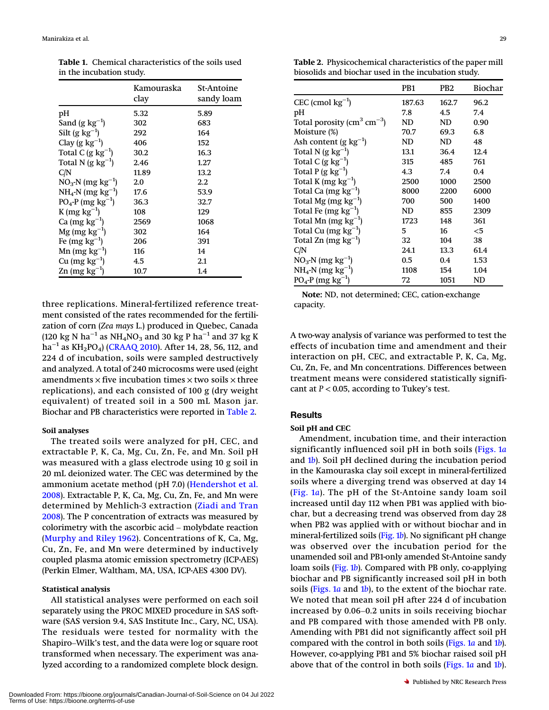<span id="page-3-0"></span>Table 1. Chemical characteristics of the soils used in the incubation study.

|                                    | Kamouraska<br>clav | St-Antoine<br>sandy loam |
|------------------------------------|--------------------|--------------------------|
| рH                                 | 5.32               | 5.89                     |
| Sand $(g \ kg^{-1})$               | 302                | 683                      |
| Silt (g $kg^{-1}$ )                | 292                | 164                      |
| Clay (g $kg^{-1}$ )                | 406                | 152                      |
| Total C $(g \ kg^{-1})$            | 30.2               | 16.3                     |
| Total N $(g \ kg^{-1})$            | 2.46               | 1.27                     |
| C/N                                | 11.89              | 13.2                     |
| $NO_3$ -N (mg kg <sup>-1</sup> )   | 2.0                | 2.2                      |
| $NH_4$ -N (mg $kg^{-1}$ )          | 17.6               | 53.9                     |
| $PO_4$ -P (mg kg <sup>-1</sup> )   | 36.3               | 32.7                     |
| $K$ (mg $kg^{-1}$ )                | 108                | 129                      |
| Ca $(mg kg^{-1})$                  | 2569               | 1068                     |
| $Mg$ (mg $kg^{-1}$ )               | 302                | 164                      |
| Fe (mg $kg^{-1}$ )                 | 206                | 391                      |
| Mn (mg $kg^{-1}$ )                 | 116                | 14                       |
| Cu $(mg kg^{-1})$                  | 4.5                | 2.1                      |
| $\text{Zn}$ (mg kg <sup>-1</sup> ) | 10.7               | 1.4                      |

three replications. Mineral-fertilized reference treatment consisted of the rates recommended for the fertilization of corn (Zea mays L.) produced in Quebec, Canada (120 kg N ha<sup>-1</sup> as NH<sub>4</sub>NO<sub>3</sub> and 30 kg P ha<sup>-1</sup> and 37 kg K ha<sup>-1</sup> as KH<sub>2</sub>PO<sub>4</sub>) [\(CRAAQ 2010\)](#page-10-3). After 14, 28, 56, 112, and 224 d of incubation, soils were sampled destructively and analyzed. A total of 240 microcosms were used (eight amendments  $\times$  five incubation times  $\times$  two soils  $\times$  three replications), and each consisted of 100 g (dry weight equivalent) of treated soil in a 500 mL Mason jar. Biochar and PB characteristics were reported in [Table 2.](#page-3-1)

#### Soil analyses

The treated soils were analyzed for pH, CEC, and extractable P, K, Ca, Mg, Cu, Zn, Fe, and Mn. Soil pH was measured with a glass electrode using 10 g soil in 20 mL deionized water. The CEC was determined by the ammonium acetate method (pH 7.0) ([Hendershot et al.](#page-11-13) [2008](#page-11-13)). Extractable P, K, Ca, Mg, Cu, Zn, Fe, and Mn were<br>determined by Mehlich-3 extraction (Ziadi and Tran<br>2008). The P concentration of extracts was measured by<br>colorimetry with the ascorbic acid – molybdate reaction determined by Mehlich-3 extraction ([Ziadi and Tran](#page-12-7) [2008\)](#page-12-7). The P concentration of extracts was measured by ([Murphy and Riley 1962](#page-11-14)). Concentrations of K, Ca, Mg, Cu, Zn, Fe, and Mn were determined by inductively coupled plasma atomic emission spectrometry (ICP-AES) (Perkin Elmer, Waltham, MA, USA, ICP-AES 4300 DV).

#### Statistical analysis

All statistical analyses were performed on each soil separately using the PROC MIXED procedure in SAS software (SAS version 9.4, SAS Institute Inc., Cary, NC, USA).<br>The residuals were tested for normality with the<br>Shapiro–Wilk's test, and the data were log or square root ware (SAS version 9.4, SAS Institute Inc., Cary, NC, USA). The residuals were tested for normality with the transformed when necessary. The experiment was analyzed according to a randomized complete block design.

<span id="page-3-1"></span>Table 2. Physicochemical characteristics of the paper mill biosolids and biochar used in the incubation study.

|                                                  | PB1    | PB2   | Biochar |
|--------------------------------------------------|--------|-------|---------|
| CEC (cmol $kg^{-1}$ )                            | 187.63 | 162.7 | 96.2    |
| pH                                               | 7.8    | 4.5   | 7.4     |
| Total porosity ( $\text{cm}^3 \text{ cm}^{-3}$ ) | ND     | ND    | 0.90    |
| Moisture (%)                                     | 70.7   | 69.3  | 6.8     |
| Ash content (g $kg^{-1}$ )                       | ND     | ND    | 48      |
| Total N (g $kg^{-1}$ )                           | 13.1   | 36.4  | 12.4    |
| Total C $(g \ kg^{-1})$                          | 315    | 485   | 761     |
| Total P $(g \ kg^{-1})$                          | 4.3    | 7.4   | 0.4     |
| Total K (mg $kg^{-1}$ )                          | 2500   | 1000  | 2500    |
| Total Ca $(mg kg^{-1})$                          | 8000   | 2200  | 6000    |
| Total Mg (mg $kg^{-1}$ )                         | 700    | 500   | 1400    |
| Total Fe (mg $kg^{-1}$ )                         | ND     | 855   | 2309    |
| Total Mn (mg $kg^{-1}$ )                         | 1723   | 148   | 361     |
| Total Cu $(mg kg^{-1})$                          | 5      | 16    | $<$ 5   |
| Total Zn (mg $kg^{-1}$ )                         | 32     | 104   | 38      |
| C/N                                              | 24.1   | 13.3  | 61.4    |
| $NO_3$ -N (mg kg <sup>-1</sup> )                 | 0.5    | 0.4   | 1.53    |
| $NH_4-N$ (mg kg <sup>-1</sup> )                  | 1108   | 154   | 1.04    |
| $PO_4$ -P (mg kg <sup>-1</sup> )                 | 72     | 1051  | ND      |

Note: ND, not determined; CEC, cation-exchange capacity.

A two-way analysis of variance was performed to test the effects of incubation time and amendment and their interaction on pH, CEC, and extractable P, K, Ca, Mg, Cu, Zn, Fe, and Mn concentrations. Differences between treatment means were considered statistically significant at  $P < 0.05$ , according to Tukey's test.

# Results

# Soil pH and CEC

Amendment, incubation time, and their interaction significantly influenced soil pH in both soils ([Figs. 1](#page-4-0)a and  $1b$  $1b$ ). Soil pH declined during the incubation period in the Kamouraska clay soil except in mineral-fertilized soils where a diverging trend was observed at day 14 ([Fig. 1](#page-4-0)a). The pH of the St-Antoine sandy loam soil increased until day 112 when PB1 was applied with biochar, but a decreasing trend was observed from day 28 when PB2 was applied with or without biochar and in mineral-fertilized soils ([Fig. 1](#page-4-0)b). No significant pH change was observed over the incubation period for the unamended soil and PB1-only amended St-Antoine sandy loam soils [\(Fig. 1](#page-4-0)b). Compared with PB only, co-applying biochar and PB significantly increased soil pH in both soils [\(Figs. 1](#page-4-0)*a* and 1*[b](#page-4-0)*), to the extent of the biochar rate. We noted that mean soil pH after 224 d of incubation biochar and PB significantly increased soil pH in both<br>soils (Figs. 1a and 1b), to the extent of the biochar rate.<br>We noted that mean soil pH after 224 d of incubation<br>increased by 0.06–0.2 units in soils receiving biochar and PB compared with those amended with PB only. Amending with PB1 did not significantly affect soil pH compared with the control in both soils [\(Figs. 1](#page-4-0)a and 1[b](#page-4-0)). However, co-applying PB1 and 5% biochar raised soil pH above that of the control in both soils ([Figs. 1](#page-4-0)a and 1[b](#page-4-0)).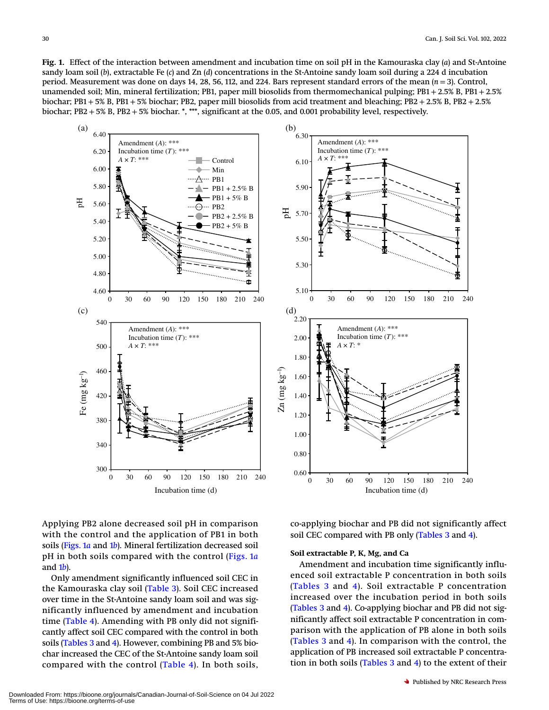<span id="page-4-0"></span>Fig. 1. Effect of the interaction between amendment and incubation time on soil pH in the Kamouraska clay (a) and St-Antoine sandy loam soil (b), extractable Fe  $(c)$  and Zn  $(d)$  concentrations in the St-Antoine sandy loam soil during a 224 d incubation period. Measurement was done on days 14, 28, 56, 112, and 224. Bars represent standard errors of the mean  $(n = 3)$ . Control, unamended soil; Min, mineral fertilization; PB1, paper mill biosolids from thermomechanical pulping; PB1 + 2.5% B, PB1 + 2.5% biochar;  $PB1 + 5\%$  B,  $PB1 + 5\%$  biochar; PB2, paper mill biosolids from acid treatment and bleaching; PB2 + 2.5% B, PB2 + 2.5% biochar; PB2 + 5% B, PB2 + 5% biochar. \*, \*\*\*, significant at the 0.05, and 0.001 probability level, respectively.





Applying PB2 alone decreased soil pH in comparison with the control and the application of PB1 in both soils [\(Figs. 1](#page-4-0)a and 1[b](#page-4-0)). Mineral fertilization decreased soil pH in both soils compared with the control ([Figs. 1](#page-4-0)a and  $1b$  $1b$ ).

Only amendment significantly influenced soil CEC in the Kamouraska clay soil ([Table 3\)](#page-5-0). Soil CEC increased over time in the St-Antoine sandy loam soil and was significantly influenced by amendment and incubation time ([Table 4\)](#page-6-0). Amending with PB only did not significantly affect soil CEC compared with the control in both soils ([Tables 3](#page-5-0) and [4](#page-6-0)). However, combining PB and 5% biochar increased the CEC of the St-Antoine sandy loam soil compared with the control ([Table 4](#page-6-0)). In both soils, co-applying biochar and PB did not significantly affect soil CEC compared with PB only ([Tables 3](#page-5-0) and [4\)](#page-6-0).

#### Soil extractable P, K, Mg, and Ca

Amendment and incubation time significantly influenced soil extractable P concentration in both soils ([Tables 3](#page-5-0) and [4](#page-6-0)). Soil extractable P concentration increased over the incubation period in both soils ([Tables 3](#page-5-0) and [4](#page-6-0)). Co-applying biochar and PB did not significantly affect soil extractable P concentration in comparison with the application of PB alone in both soils ([Tables 3](#page-5-0) and [4](#page-6-0)). In comparison with the control, the application of PB increased soil extractable P concentration in both soils  $(Tables 3 and 4)$  $(Tables 3 and 4)$  $(Tables 3 and 4)$  $(Tables 3 and 4)$  to the extent of their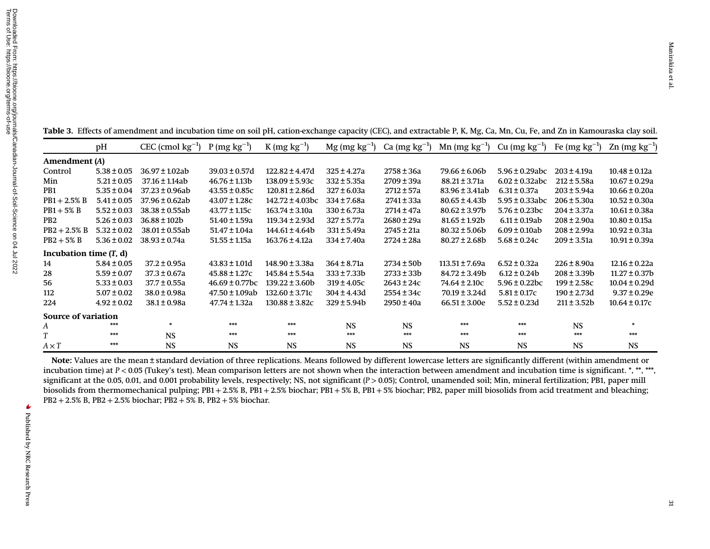Downloaded From: https://bioone.org/journals/Canadian-Journal-of-Soil-Science on 04 Jul 2022<br>Terms of Use: https://bioone.org/terms-of-use Terms of Use: https://bioone.org/terms-of-use Downloaded From: https://bioone.org/journals/Canadian-Journal-of-Soil-Science on 04 Jul 2022Amendment (A) Control 5.38Min 5.21 ±PB1 5.35 ±PB1+PB1+PB2 5.26PB2+PB2+Incubation time ( T, d) 14 5.8428 5.59

<span id="page-5-0"></span>Table 3. Effects of amendment and incubation time on soil pH, cation-exchange capacity (CEC), and extractable P, K, Mg, Ca, Mn, Cu, Fe, and Zn in Kamouraska clay soil.

|                            | pH                       | CEC (cmol $\text{kg}^{-1}$ ) P (mg $\text{kg}^{-1}$ ) |                     | $K (mg kg^{-1})$     |                  | Mg (mg $kg^{-1}$ ) Ca (mg $kg^{-1}$ ) | $Mn$ (mg $kg^{-1}$ ) | Cu $(mg kg^{-1})$   | Fe (mg $kg^{-1}$ ) | $\text{Zn}$ (mg kg <sup>-1</sup> ) |  |
|----------------------------|--------------------------|-------------------------------------------------------|---------------------|----------------------|------------------|---------------------------------------|----------------------|---------------------|--------------------|------------------------------------|--|
| Amendment (A)              |                          |                                                       |                     |                      |                  |                                       |                      |                     |                    |                                    |  |
| Control                    | $5.38 \pm 0.05$          | $36.97 \pm 1.02ab$                                    | $39.03 \pm 0.57d$   | $122.82 \pm 4.47d$   | $325 \pm 4.27a$  | $2758 \pm 36a$                        | $79.66 \pm 6.06b$    | $5.96 \pm 0.29$ abc | $203 \pm 4.19a$    | $10.48 \pm 0.12a$                  |  |
| Min                        | $5.21 \pm 0.05$          | $37.16 \pm 1.14ab$                                    | $46.76 \pm 1.13b$   | $138.09 \pm 5.93c$   | $332 \pm 5.35a$  | $2709 \pm 39a$                        | $88.21 \pm 3.71a$    | $6.02 \pm 0.32$ abc | $212 \pm 5.58a$    | $10.67 \pm 0.29a$                  |  |
| PB <sub>1</sub>            | $5.35 \pm 0.04$          | $37.23 \pm 0.96ab$                                    | $43.55 \pm 0.85c$   | $120.81 \pm 2.86$ d  | $327 \pm 6.03a$  | $2712 \pm 57a$                        | $83.96 \pm 3.41$ ab  | $6.31 \pm 0.37a$    | $203 \pm 5.94a$    | $10.66 \pm 0.20a$                  |  |
| $PB1 + 2.5\% B$            | $5.41 \pm 0.05$          | $37.96 \pm 0.62ab$                                    | $43.07 \pm 1.28c$   | $142.72 \pm 4.03$ bc | 334 ± 7.68a      | 2741±33a                              | $80.65 \pm 4.43b$    | $5.95 \pm 0.33$ abc | $206 \pm 5.30a$    | $10.52 \pm 0.30a$                  |  |
| $PB1+5\% B$                | $5.52 \pm 0.03$          | $38.38 \pm 0.55ab$                                    | $43.77 \pm 1.15c$   | $163.74 \pm 3.10a$   | $330 \pm 6.73a$  | 2714 ± 47a                            | $80.62 \pm 3.97b$    | $5.76 \pm 0.23$ bc  | $204 \pm 3.37a$    | $10.61 \pm 0.38a$                  |  |
| PB <sub>2</sub>            | $5.26 \pm 0.03$          | $36.88 \pm 102b$                                      | 51.40 ± 1.59a       | $119.34 \pm 2.93d$   | 327 ± 5.77a      | $2680 \pm 29a$                        | $81.65 \pm 1.92b$    | $6.11 \pm 0.19$ ab  | $208 \pm 2.90a$    | $10.80 \pm 0.15a$                  |  |
| $PB2 + 2.5\% B$            | $5.32 \pm 0.02$          | $38.01 \pm 0.55$ ab                                   | $51.47 \pm 1.04a$   | $144.61 \pm 4.64b$   | $331 \pm 5.49a$  | $2745 \pm 21a$                        | $80.32 \pm 5.06b$    | $6.09 \pm 0.10$ ab  | $208 \pm 2.99a$    | $10.92 \pm 0.31a$                  |  |
| $PB2 + 5\% B$              | $5.36 \pm 0.02$          | 38.93 ± 0.74a                                         | $51.55 \pm 1.15a$   | $163.76 \pm 4.12a$   | $334 \pm 7.40a$  | 2724 ± 28a                            | $80.27 \pm 2.68$     | $5.68 \pm 0.24c$    | $209 \pm 3.51a$    | $10.91 \pm 0.39a$                  |  |
|                            | Incubation time $(T, d)$ |                                                       |                     |                      |                  |                                       |                      |                     |                    |                                    |  |
| 14                         | $5.84 \pm 0.05$          | $37.2 \pm 0.95a$                                      | $43.83 \pm 1.01d$   | 148.90 ± 3.38a       | $364 \pm 8.71a$  | $2734 \pm 50b$                        | $113.51 \pm 7.69a$   | $6.52 \pm 0.32a$    | $226 \pm 8.90a$    | $12.16 \pm 0.22a$                  |  |
| 28                         | $5.59 \pm 0.07$          | $37.3 \pm 0.67a$                                      | $45.88 \pm 1.27c$   | 145.84 ± 5.54a       | $333 \pm 7.33b$  | $2733 \pm 33b$                        | $84.72 \pm 3.49b$    | $6.12 \pm 0.24b$    | $208 \pm 3.39b$    | $11.27 \pm 0.37b$                  |  |
| 56                         | $5.33 \pm 0.03$          | $37.7 \pm 0.55a$                                      | $46.69 \pm 0.77$ bc | $139.22 \pm 3.60b$   | $319 \pm 4.05c$  | $2643 \pm 24c$                        | $74.64 \pm 2.10c$    | $5.96 \pm 0.22$ bc  | $199 \pm 2.58c$    | $10.04 \pm 0.29d$                  |  |
| 112                        | $5.07 \pm 0.02$          | $38.0 \pm 0.98a$                                      | $47.50 \pm 1.09ab$  | $132.60 \pm 3.71c$   | $304 \pm 4.43$ d | $2554 \pm 34c$                        | $70.19 \pm 3.24$ d   | $5.81 \pm 0.17c$    | $190 \pm 2.73$ d   | $9.37 \pm 0.29e$                   |  |
| 224                        | $4.92 \pm 0.02$          | $38.1 \pm 0.98a$                                      | 47.74 ± 1.32a       | $130.88 \pm 3.82c$   | $329 \pm 5.94b$  | $2950 \pm 40a$                        | $66.51 \pm 3.00e$    | $5.52 \pm 0.23d$    | $211 \pm 3.52b$    | $10.64 \pm 0.17c$                  |  |
| <b>Source of variation</b> |                          |                                                       |                     |                      |                  |                                       |                      |                     |                    |                                    |  |
| A                          | ***                      | ₩                                                     | ***                 | ***                  | <b>NS</b>        | <b>NS</b>                             | ***                  | ***                 | <b>NS</b>          |                                    |  |
|                            | ***                      | <b>NS</b>                                             | ***                 | ***                  | ***              | ***                                   | ***                  | ***                 | ***                | ***                                |  |
| $A \times T$               | ***                      | <b>NS</b>                                             | <b>NS</b>           | <b>NS</b>            | <b>NS</b>        | <b>NS</b>                             | <b>NS</b>            | <b>NS</b>           | <b>NS</b>          | <b>NS</b>                          |  |

Note: Values are the mean <sup>±</sup> standard deviation of three replications. Means followed by different lowercase letters are significantly different (within amendment or incubation time) at P< 0.05 (Tukey'<sup>s</sup> test). Mean comparison letters are not shown when the interaction between amendment and incubation time is significant. \*, \*\*, \*\*\*, significant at the 0.05, 0.01, and 0.001 probability levels, respectively; NS, not significant ( P > 0.05); Control, unamended soil; Min, mineral fertilization; PB1, paper mill biosolids from thermomechanical pulping; PB1 + 2.5% B, PB1 + 2.5% biochar; PB1 + 5% B, PB1 + 5% biochar; PB2, paper mill biosolids from acid treatment and bleaching; PB2 + 2.5% B, PB2 + 2.5% biochar; PB2 + 5% B, PB2 + 5% biochar.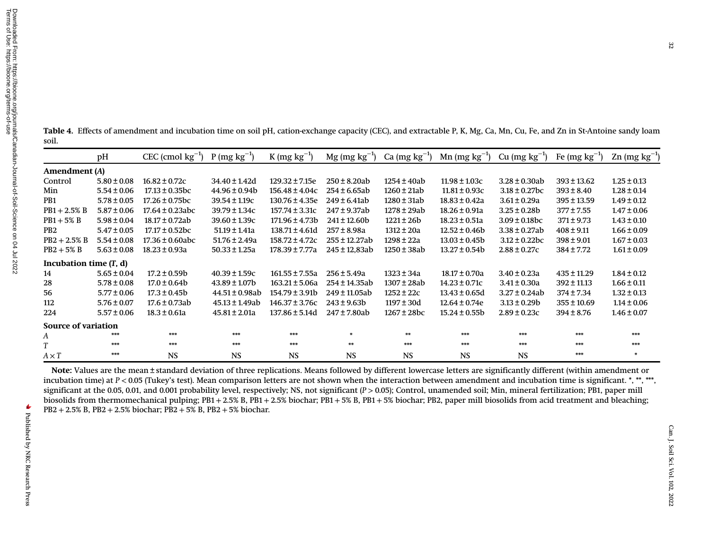<span id="page-6-0"></span>Table 4. Effects of amendment and incubation time on soil pH, cation-exchange capacity (CEC), and extractable P, K, Mg, Ca, Mn, Cu, Fe, and Zn in St-Antoine sandy loam soil.

|                            | pH              | $CEC$ (cmol $kg^{-1}$ ) | $P(mg kg^{-1})$     | $K (mg kg^{-1})$    | $Mg$ (mg kg <sup>-1</sup> ) | Ca $(mg kg^{-1})$ | Mn $(mg kg^{-1})$ | Cu $(mg kg^{-1})$  | Fe $(mg kg^{-1})$ | $\text{Zn}$ (mg kg <sup>-1</sup> ) |
|----------------------------|-----------------|-------------------------|---------------------|---------------------|-----------------------------|-------------------|-------------------|--------------------|-------------------|------------------------------------|
| Amendment (A)              |                 |                         |                     |                     |                             |                   |                   |                    |                   |                                    |
| Control                    | $5.80 \pm 0.08$ | $16.82 \pm 0.72c$       | $34.40 \pm 1.42d$   | $129.32 \pm 7.15e$  | $250 \pm 8.20$ ab           | 1254 ± 40ab       | $11.98 \pm 1.03c$ | $3.28 \pm 0.30$ ab | $393 \pm 13.62$   | $1.25 \pm 0.13$                    |
| Min                        | $5.54 \pm 0.06$ | $17.13 \pm 0.35$ bc     | $44.96 \pm 0.94$    | $156.48 \pm 4.04c$  | $254 \pm 6.65$ ab           | $1260 \pm 21ab$   | $11.81 \pm 0.93c$ | $3.18 \pm 0.27$ bc | $393 \pm 8.40$    | $1.28 \pm 0.14$                    |
| P <sub>B</sub> 1           | $5.78 \pm 0.05$ | $17.26 \pm 0.75$ bc     | $39.54 \pm 1.19c$   | $130.76 \pm 4.35e$  | $249 \pm 6.41$ ab           | $1280 \pm 31ab$   | $18.83 \pm 0.42a$ | $3.61 \pm 0.29a$   | $395 \pm 13.59$   | $1.49 \pm 0.12$                    |
| $PB1 + 2.5\% B$            | $5.87 \pm 0.06$ | $17.64 \pm 0.23$ abc    | $39.79 \pm 1.34c$   | $157.74 \pm 3.31c$  | 247 ± 9.37ab                | 1278 ± 29ab       | $18.26 \pm 0.91a$ | $3.25 \pm 0.28$    | $377 \pm 7.55$    | $1.47 \pm 0.06$                    |
| $PB1+5\% B$                | $5.98 \pm 0.04$ | $18.17 \pm 0.72$ ab     | $39.60 \pm 1.39c$   | $171.96 \pm 4.73b$  | $241 \pm 12.60$             | $1221 \pm 26b$    | $18.23 \pm 0.51a$ | $3.09 \pm 0.18$ bc | $371 \pm 9.73$    | $1.43 \pm 0.10$                    |
| PB <sub>2</sub>            | $5.47 \pm 0.05$ | $17.17 \pm 0.52$ bc     | $51.19 \pm 1.41a$   | $138.71 \pm 4.61$ d | $257 \pm 8.98a$             | 1312 ± 20a        | $12.52 \pm 0.46b$ | $3.38 \pm 0.27$ ab | $408 \pm 9.11$    | $1.66 \pm 0.09$                    |
| $PB2 + 2.5\% B$            | $5.54 \pm 0.08$ | $17.36 \pm 0.60$ abc    | $51.76 \pm 2.49a$   | $158.72 \pm 4.72c$  | 255 ± 12.27ab               | $1298 \pm 22a$    | $13.03 \pm 0.45b$ | $3.12 \pm 0.22$ bc | $398 \pm 9.01$    | $1.67 \pm 0.03$                    |
| $PB2+5% B$                 | $5.63 \pm 0.08$ | $18.23 \pm 0.93a$       | $50.33 \pm 1.25a$   | 178.39 ± 7.77a      | 245 ± 12,83ab               | $1250 \pm 38ab$   | $13.27 \pm 0.54b$ | $2.88 \pm 0.27c$   | $384 \pm 7.72$    | $1.61 \pm 0.09$                    |
| Incubation time $(T, d)$   |                 |                         |                     |                     |                             |                   |                   |                    |                   |                                    |
| 14                         | $5.65 \pm 0.04$ | $17.2 \pm 0.59b$        | $40.39 \pm 1.59c$   | $161.55 \pm 7.55a$  | $256 \pm 5.49a$             | $1323 \pm 34a$    | $18.17 \pm 0.70a$ | $3.40 \pm 0.23a$   | $435 \pm 11.29$   | $1.84 \pm 0.12$                    |
| 28                         | $5.78 \pm 0.08$ | $17.0 \pm 0.64$         | $43.89 \pm 1.07b$   | $163.21 \pm 5.06a$  | 254 ± 14.35ab               | 1307±28ab         | $14.23 \pm 0.71c$ | $3.41 \pm 0.30a$   | $392 \pm 11.13$   | $1.66 \pm 0.11$                    |
| 56                         | $5.77 \pm 0.06$ | $17.3 \pm 0.45b$        | $44.51 \pm 0.98$ ab | $154.79 \pm 3.91b$  | 249 ± 11.05ab               | $1252 \pm 22c$    | $13.43 \pm 0.65d$ | $3.27 \pm 0.24$ ab | 374 ± 7.34        | $1.32 \pm 0.13$                    |
| 112                        | $5.76 \pm 0.07$ | $17.6 \pm 0.73$ ab      | $45.13 \pm 1.49$ ab | $146.37 \pm 3.76c$  | $243 \pm 9.63b$             | $1197 \pm 30d$    | $12.64 \pm 0.74e$ | $3.13 \pm 0.29$    | $355 \pm 10.69$   | $1.14 \pm 0.06$                    |
| 224                        | $5.57 \pm 0.06$ | $18.3 \pm 0.61a$        | $45.81 \pm 2.01a$   | $137.86 \pm 5.14d$  | 247 ± 7.80ab                | $1267 \pm 28$ bc  | $15.24 \pm 0.55b$ | $2.89 \pm 0.23c$   | $394 \pm 8.76$    | $1.46 \pm 0.07$                    |
| <b>Source of variation</b> |                 |                         |                     |                     |                             |                   |                   |                    |                   |                                    |
| A                          | ***             | ***                     | ***                 | ***                 | *                           | **                | ***               | ***                | ***               | ***                                |
| T                          | ***             | ***                     | ***                 | ***                 | **                          | ***               | ***               | ***                | ***               | ***                                |
| $A \times T$               | ***             | <b>NS</b>               | <b>NS</b>           | <b>NS</b>           | <b>NS</b>                   | <b>NS</b>         | <b>NS</b>         | <b>NS</b>          | ***               | 寨                                  |

Note: Values are the mean <sup>±</sup> standard deviation of three replications. Means followed by different lowercase letters are significantly different (within amendment or incubation time) at P < 0.05 (Tukey's test). Mean comparison letters are not shown when the interaction between amendment and incubation time is significant. \*, \*\*, \*\*\*, significant at the 0.05, 0.01, and 0.001 probability level, respectively; NS, not significant (P > 0.05); Control, unamended soil; Min, mineral fertilization; PB1, paper mill biosolids from thermomechanical pulping; PB1 + 2.5% B, PB1 + 2.5% biochar; PB1 + 5% B, PB1 + 5% biochar; PB2, paper mill biosolids from acid treatment and bleaching; PB2 + 2.5% B, PB2 + 2.5% biochar; PB2 + 5% B, PB2 + 5% biochar.

 $\blacktriangleright$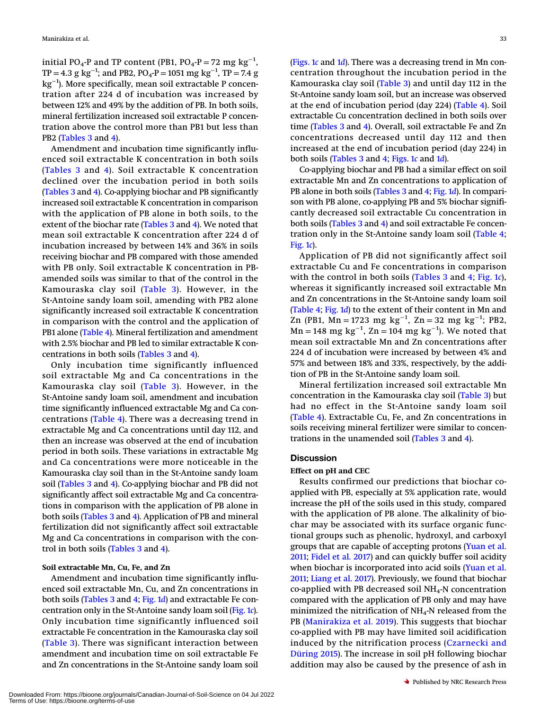initial PO<sub>4</sub>-P and TP content (PB1, PO<sub>4</sub>-P = 72 mg kg<sup>-1</sup>, TP = 4.3 g kg<sup>-1</sup>; and PB2, PO<sub>4</sub>-P = 1051 mg kg<sup>-1</sup>, TP = 7.4 g kg<sup>-1</sup>). More specifically, mean soil extractable P concentration after 224 d of incubation was increased by between 12% and 49% by the addition of PB. In both soils, mineral fertilization increased soil extractable P concentration above the control more than PB1 but less than PB2 ([Tables 3](#page-5-0) and [4](#page-6-0)).

Amendment and incubation time significantly influenced soil extractable K concentration in both soils ([Tables 3](#page-5-0) and [4\)](#page-6-0). Soil extractable K concentration declined over the incubation period in both soils ([Tables 3](#page-5-0) and [4](#page-6-0)). Co-applying biochar and PB significantly increased soil extractable K concentration in comparison with the application of PB alone in both soils, to the extent of the biochar rate [\(Tables 3](#page-5-0) and [4\)](#page-6-0). We noted that mean soil extractable K concentration after 224 d of incubation increased by between 14% and 36% in soils receiving biochar and PB compared with those amended with PB only. Soil extractable K concentration in PBamended soils was similar to that of the control in the Kamouraska clay soil ([Table 3\)](#page-5-0). However, in the St-Antoine sandy loam soil, amending with PB2 alone significantly increased soil extractable K concentration in comparison with the control and the application of PB1 alone ([Table 4](#page-6-0)). Mineral fertilization and amendment with 2.5% biochar and PB led to similar extractable K concentrations in both soils [\(Tables 3](#page-5-0) and [4\)](#page-6-0).

Only incubation time significantly influenced soil extractable Mg and Ca concentrations in the Kamouraska clay soil ([Table 3\)](#page-5-0). However, in the St-Antoine sandy loam soil, amendment and incubation time significantly influenced extractable Mg and Ca concentrations ([Table 4](#page-6-0)). There was a decreasing trend in extractable Mg and Ca concentrations until day 112, and then an increase was observed at the end of incubation period in both soils. These variations in extractable Mg and Ca concentrations were more noticeable in the Kamouraska clay soil than in the St-Antoine sandy loam soil [\(Tables 3](#page-5-0) and [4\)](#page-6-0). Co-applying biochar and PB did not significantly affect soil extractable Mg and Ca concentrations in comparison with the application of PB alone in both soils ([Tables 3](#page-5-0) and [4](#page-6-0)). Application of PB and mineral fertilization did not significantly affect soil extractable Mg and Ca concentrations in comparison with the control in both soils [\(Tables 3](#page-5-0) and [4\)](#page-6-0).

#### Soil extractable Mn, Cu, Fe, and Zn

Amendment and incubation time significantly influenced soil extractable Mn, Cu, and Zn concentrations in both soils [\(Tables 3](#page-5-0) and [4;](#page-6-0) [Fig. 1](#page-4-0)d) and extractable Fe concentration only in the St-Antoine sandy loam soil ([Fig. 1](#page-4-0)c). Only incubation time significantly influenced soil extractable Fe concentration in the Kamouraska clay soil ([Table 3\)](#page-5-0). There was significant interaction between amendment and incubation time on soil extractable Fe and Zn concentrations in the St-Antoine sandy loam soil ([Figs. 1](#page-4-0)c an[d](#page-4-0)  $1d$ ). There was a decreasing trend in Mn concentration throughout the incubation period in the Kamouraska clay soil [\(Table 3](#page-5-0)) and until day 112 in the St-Antoine sandy loam soil, but an increase was observed at the end of incubation period (day 224) ([Table 4\)](#page-6-0). Soil extractable Cu concentration declined in both soils over time [\(Tables 3](#page-5-0) and [4\)](#page-6-0). Overall, soil extractable Fe and Zn concentrations decreased until day 112 and then increased at the end of incubation period (day 224) in both soils ([Tables 3](#page-5-0) and [4](#page-6-0); [Figs. 1](#page-4-0)c and 1[d](#page-4-0)).

Co-applying biochar and PB had a similar effect on soil extractable Mn and Zn concentrations to application of PB alone in both soils [\(Tables 3](#page-5-0) and [4;](#page-6-0) [Fig. 1](#page-4-0)d). In comparison with PB alone, co-applying PB and 5% biochar significantly decreased soil extractable Cu concentration in both soils ([Tables 3](#page-5-0) and [4](#page-6-0)) and soil extractable Fe concentration only in the St-Antoine sandy loam soil ([Table 4](#page-6-0); [Fig. 1](#page-4-0)c).

Application of PB did not significantly affect soil extractable Cu and Fe concentrations in comparison with the control in both soils ([Tables 3](#page-5-0) and [4](#page-6-0); [Fig. 1](#page-4-0)c), whereas it significantly increased soil extractable Mn and Zn concentrations in the St-Antoine sandy loam soil ([Table 4](#page-6-0); [Fig. 1](#page-4-0)d) to the extent of their content in Mn and Zn (PB1, Mn = 1723 mg kg<sup>-1</sup>, Zn = 32 mg kg<sup>-1</sup>; PB2, Mn = 148 mg kg $^{-1}$ , Zn = 104 mg kg $^{-1}$ ). We noted that mean soil extractable Mn and Zn concentrations after 224 d of incubation were increased by between 4% and 57% and between 18% and 33%, respectively, by the addition of PB in the St-Antoine sandy loam soil.

Mineral fertilization increased soil extractable Mn concentration in the Kamouraska clay soil ([Table 3\)](#page-5-0) but had no effect in the St-Antoine sandy loam soil ([Table 4\)](#page-6-0). Extractable Cu, Fe, and Zn concentrations in soils receiving mineral fertilizer were similar to concentrations in the unamended soil [\(Tables 3](#page-5-0) and [4\)](#page-6-0).

### **Discussion**

#### Effect on pH and CEC

Results confirmed our predictions that biochar coapplied with PB, especially at 5% application rate, would increase the pH of the soils used in this study, compared with the application of PB alone. The alkalinity of biochar may be associated with its surface organic functional groups such as phenolic, hydroxyl, and carboxyl groups that are capable of accepting protons ([Yuan et al.](#page-12-4) [2011;](#page-12-4) [Fidel et al. 2017](#page-11-6)) and can quickly buffer soil acidity when biochar is incorporated into acid soils [\(Yuan et al.](#page-12-4) [2011;](#page-12-4) [Liang et al. 2017](#page-11-8)). Previously, we found that biochar co-applied with PB decreased soil  $NH_4$ -N concentration compared with the application of PB only and may have minimized the nitrification of  $NH<sub>4</sub>$ -N released from the PB ([Manirakiza et al. 2019](#page-11-12)). This suggests that biochar co-applied with PB may have limited soil acidification induced by the nitrification process ([Czarnecki and](#page-11-15) [Düring 2015\)](#page-11-15). The increase in soil pH following biochar addition may also be caused by the presence of ash in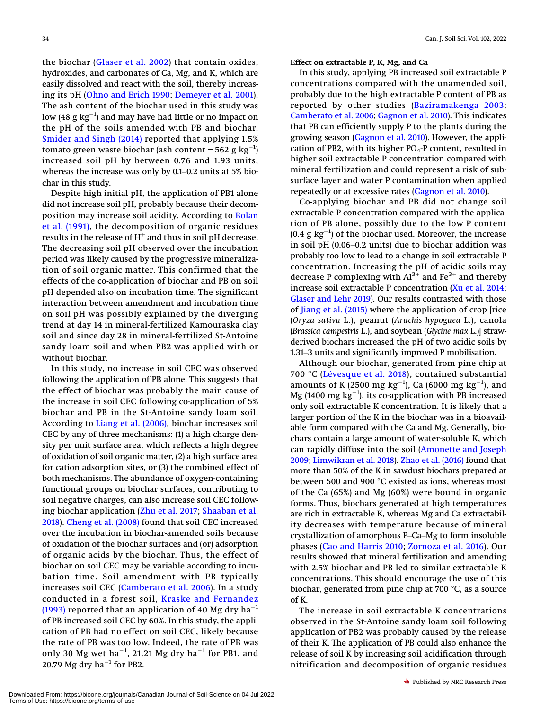the biochar ([Glaser et al. 2002](#page-11-16)) that contain oxides, hydroxides, and carbonates of Ca, Mg, and K, which are easily dissolved and react with the soil, thereby increasing its pH [\(Ohno and Erich 1990;](#page-12-8) [Demeyer et al. 2001\)](#page-11-17). The ash content of the biochar used in this study was low (48  $\rm g~kg^{-1}$ ) and may have had little or no impact on the pH of the soils amended with PB and biochar. [Smider and Singh \(2014\)](#page-12-9) reported that applying 1.5% tomato green waste biochar (ash content = 562 g  $\text{kg}^{-1}$ ) increased soil pH by between 0.76 and 1.93 units, Smider and Singh (2014) reported that applying 1.5% tomato green waste biochar (ash content = 562 g  $\text{kg}^{-1}$ ) increased soil pH by between 0.76 and 1.93 units, whereas the increase was only by 0.1–0.2 units at 5% biochar in this study.

Despite high initial pH, the application of PB1 alone did not increase soil pH, probably because their decom-position may increase soil acidity. According to [Bolan](#page-10-4) [et al. \(1991\)](#page-10-4), the decomposition of organic residues results in the release of  $H^+$  and thus in soil pH decrease. The decreasing soil pH observed over the incubation period was likely caused by the progressive mineralization of soil organic matter. This confirmed that the effects of the co-application of biochar and PB on soil pH depended also on incubation time. The significant interaction between amendment and incubation time on soil pH was possibly explained by the diverging trend at day 14 in mineral-fertilized Kamouraska clay soil and since day 28 in mineral-fertilized St-Antoine sandy loam soil and when PB2 was applied with or without biochar.

In this study, no increase in soil CEC was observed following the application of PB alone. This suggests that the effect of biochar was probably the main cause of the increase in soil CEC following co-application of 5% biochar and PB in the St-Antoine sandy loam soil. According to [Liang et al. \(2006\)](#page-11-7), biochar increases soil CEC by any of three mechanisms: (1) a high charge density per unit surface area, which reflects a high degree of oxidation of soil organic matter, (2) a high surface area for cation adsorption sites, or (3) the combined effect of both mechanisms. The abundance of oxygen-containing functional groups on biochar surfaces, contributing to soil negative charges, can also increase soil CEC following biochar application [\(Zhu et al. 2017](#page-12-10); [Shaaban et al.](#page-12-11) [2018\)](#page-12-11). [Cheng et al. \(2008\)](#page-10-8) found that soil CEC increased over the incubation in biochar-amended soils because of oxidation of the biochar surfaces and (or) adsorption of organic acids by the biochar. Thus, the effect of biochar on soil CEC may be variable according to incubation time. Soil amendment with PB typically increases soil CEC ([Camberato et al. 2006\)](#page-10-0). In a study conducted in a forest soil, [Kraske and Fernandez](#page-11-18) [\(1993\)](#page-11-18) reported that an application of 40 Mg dry ha<sup>-1</sup> of PB increased soil CEC by 60%. In this study, the application of PB had no effect on soil CEC, likely because the rate of PB was too low. Indeed, the rate of PB was only 30 Mg wet ha $^{-1}$ , 21.21 Mg dry ha $^{-1}$  for PB1, and 20.79 Mg dry ha<sup>-1</sup> for PB2.

Effect on extractable P, K, Mg, and Ca

In this study, applying PB increased soil extractable P concentrations compared with the unamended soil, probably due to the high extractable P content of PB as reported by other studies ([Baziramakenga 2003](#page-10-10); [Camberato et al. 2006;](#page-10-0) [Gagnon et al. 2010](#page-11-2)). This indicates that PB can efficiently supply P to the plants during the growing season ([Gagnon et al. 2010](#page-11-2)). However, the application of PB2, with its higher  $PO<sub>4</sub>$ -P content, resulted in higher soil extractable P concentration compared with mineral fertilization and could represent a risk of subsurface layer and water P contamination when applied repeatedly or at excessive rates [\(Gagnon et al. 2010](#page-11-2)).

Co-applying biochar and PB did not change soil extractable P concentration compared with the application of PB alone, possibly due to the low P content (0.4  $\rm g$  kg $^{-1}$ ) of the biochar used. Moreover, the increase extractable P concentration compared with the application of PB alone, possibly due to the low P content (0.4  $g \text{ kg}^{-1}$ ) of the biochar used. Moreover, the increase in soil pH (0.06–0.2 units) due to biochar addition wa probably too low to lead to a change in soil extractable P concentration. Increasing the pH of acidic soils may decrease P complexing with  $Al^{3+}$  and Fe<sup>3+</sup> and thereby increase soil extractable P concentration ([Xu et al. 2014](#page-12-12); [Glaser and Lehr 2019](#page-11-19)). Our results contrasted with those of [Jiang et al. \(2015\)](#page-11-20) where the application of crop [rice (Oryza sativa L.), peanut (Arachis hypogaea L.), canola<br>(Brassica campestris L.), and soybean (Glycine max L.)] straw-<br>derived biochars increased the pH of two acidic soils by<br>1.31–3 units and significantly improved P mobi (Brassica campestris L.), and soybean (Glycine max L.)] strawderived biochars increased the pH of two acidic soils by

Although our biochar, generated from pine chip at 700 °C ([Lévesque et al. 2018\)](#page-11-21), contained substantial amounts of K (2500  ${\rm mg~kg^{-1}}$ ), Ca (6000  ${\rm mg~kg^{-1}}$ ), and  $\rm Mg$  (1400  $\rm mg$   $\rm kg^{-1}$ ), its co-application with PB increased only soil extractable K concentration. It is likely that a larger portion of the K in the biochar was in a bioavailable form compared with the Ca and Mg. Generally, biochars contain a large amount of water-soluble K, which can rapidly diffuse into the soil [\(Amonette and Joseph](#page-10-11) [2009](#page-10-11); [Limwikran et al. 2018\)](#page-11-9). [Zhao et al. \(2016\)](#page-12-13) found that more than 50% of the K in sawdust biochars prepared at between 500 and 900 °C existed as ions, whereas most of the Ca (65%) and Mg (60%) were bound in organic forms. Thus, biochars generated at high temperatures are rich in extractable K, whereas Mg and Ca extractability decreases with temperature because of mineral forms. Thus, biochars generated at high temperatures<br>are rich in extractable K, whereas Mg and Ca extractabil-<br>ity decreases with temperature because of mineral<br>crystallization of amorphous P–Ca–Mg to form insoluble phases ([Cao and Harris 2010;](#page-10-12) [Zornoza et al. 2016\)](#page-12-14). Our results showed that mineral fertilization and amending with 2.5% biochar and PB led to similar extractable K concentrations. This should encourage the use of this biochar, generated from pine chip at 700 °C, as a source of K.

The increase in soil extractable K concentrations observed in the St-Antoine sandy loam soil following application of PB2 was probably caused by the release of their K. The application of PB could also enhance the release of soil K by increasing soil acidification through nitrification and decomposition of organic residues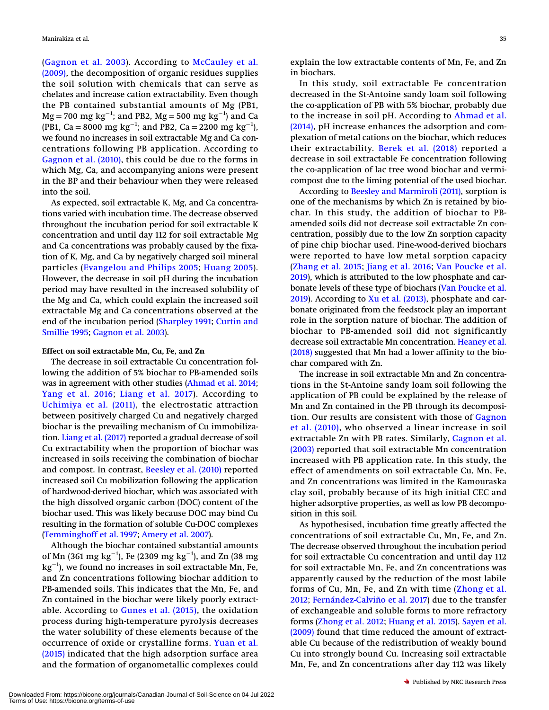([Gagnon et al. 2003](#page-11-1)). According to [McCauley et al.](#page-11-22) [\(2009\),](#page-11-22) the decomposition of organic residues supplies the soil solution with chemicals that can serve as chelates and increase cation extractability. Even though the PB contained substantial amounts of Mg (PB1,  $\text{Mg}=700 \text{ mg kg}^{-1}$ ; and PB2,  $\text{Mg}=500 \text{ mg kg}^{-1}$ ) and Ca (PB1, Ca = 8000 mg kg<sup>-1</sup>; and PB2, Ca = 2200 mg kg<sup>-1</sup>), we found no increases in soil extractable Mg and Ca concentrations following PB application. According to [Gagnon et al. \(2010\),](#page-11-2) this could be due to the forms in which Mg, Ca, and accompanying anions were present in the BP and their behaviour when they were released into the soil.

As expected, soil extractable K, Mg, and Ca concentrations varied with incubation time. The decrease observed throughout the incubation period for soil extractable K concentration and until day 112 for soil extractable Mg and Ca concentrations was probably caused by the fixation of K, Mg, and Ca by negatively charged soil mineral particles ([Evangelou and Philips 2005](#page-11-23); [Huang 2005\)](#page-11-24). However, the decrease in soil pH during the incubation period may have resulted in the increased solubility of the Mg and Ca, which could explain the increased soil extractable Mg and Ca concentrations observed at the end of the incubation period ([Sharpley 1991;](#page-12-15) [Curtin and](#page-10-13) [Smillie 1995;](#page-10-13) [Gagnon et al. 2003\)](#page-11-1).

### Effect on soil extractable Mn, Cu, Fe, and Zn

The decrease in soil extractable Cu concentration following the addition of 5% biochar to PB-amended soils was in agreement with other studies [\(Ahmad et al. 2014](#page-10-14); [Yang et al. 2016](#page-12-16); [Liang et al. 2017](#page-11-8)). According to [Uchimiya et al. \(2011\)](#page-12-17), the electrostatic attraction between positively charged Cu and negatively charged biochar is the prevailing mechanism of Cu immobilization. [Liang et al. \(2017\)](#page-11-8) reported a gradual decrease of soil Cu extractability when the proportion of biochar was increased in soils receiving the combination of biochar and compost. In contrast, [Beesley et al. \(2010\)](#page-10-15) reported increased soil Cu mobilization following the application of hardwood-derived biochar, which was associated with the high dissolved organic carbon (DOC) content of the biochar used. This was likely because DOC may bind Cu resulting in the formation of soluble Cu-DOC complexes ([Temminghoff et al. 1997](#page-12-18); [Amery et al. 2007\)](#page-10-16).

Although the biochar contained substantial amounts of Mn (361  $\rm{mg}\ kg^{-1}$ ), Fe (2309  $\rm{mg}\ kg^{-1}$ ), and Zn (38  $\rm{mg}\ g$  $\text{kg}^{-1}$ ), we found no increases in soil extractable Mn, Fe, and Zn concentrations following biochar addition to PB-amended soils. This indicates that the Mn, Fe, and Zn contained in the biochar were likely poorly extractable. According to [Gunes et al. \(2015\),](#page-11-25) the oxidation process during high-temperature pyrolysis decreases the water solubility of these elements because of the occurrence of oxide or crystalline forms. [Yuan et al.](#page-12-19) [\(2015\)](#page-12-19) indicated that the high adsorption surface area and the formation of organometallic complexes could

explain the low extractable contents of Mn, Fe, and Zn in biochars.

In this study, soil extractable Fe concentration decreased in the St-Antoine sandy loam soil following the co-application of PB with 5% biochar, probably due to the increase in soil pH. According to [Ahmad et al.](#page-10-14) [\(2014\),](#page-10-14) pH increase enhances the adsorption and complexation of metal cations on the biochar, which reduces their extractability. [Berek et al. \(2018\)](#page-10-17) reported a decrease in soil extractable Fe concentration following the co-application of lac tree wood biochar and vermicompost due to the liming potential of the used biochar.

According to [Beesley and Marmiroli \(2011\),](#page-12-20) sorption is one of the mechanisms by which Zn is retained by biochar. In this study, the addition of biochar to PBamended soils did not decrease soil extractable Zn concentration, possibly due to the low Zn sorption capacity of pine chip biochar used. Pine-wood-derived biochars were reported to have low metal sorption capacity ([Zhang et al. 2015;](#page-12-21) [Jiang et al. 2016](#page-11-26); [Van Poucke et al.](#page-12-22) [2019](#page-12-22)), which is attributed to the low phosphate and carbonate levels of these type of biochars ([Van Poucke et al.](#page-12-22) [2019\)](#page-12-22). According to [Xu et al. \(2013\)](#page-12-23), phosphate and carbonate originated from the feedstock play an important role in the sorption nature of biochar. The addition of biochar to PB-amended soil did not significantly decrease soil extractable Mn concentration. [Heaney et al.](#page-11-27) [\(2018\)](#page-11-27) suggested that Mn had a lower affinity to the biochar compared with Zn.

The increase in soil extractable Mn and Zn concentrations in the St-Antoine sandy loam soil following the application of PB could be explained by the release of Mn and Zn contained in the PB through its decomposition. Our results are consistent with those of [Gagnon](#page-11-2) [et al. \(2010\)](#page-11-2), who observed a linear increase in soil extractable Zn with PB rates. Similarly, [Gagnon et al.](#page-11-1) [\(2003\)](#page-11-1) reported that soil extractable Mn concentration increased with PB application rate. In this study, the effect of amendments on soil extractable Cu, Mn, Fe, and Zn concentrations was limited in the Kamouraska clay soil, probably because of its high initial CEC and higher adsorptive properties, as well as low PB decomposition in this soil.

As hypothesised, incubation time greatly affected the concentrations of soil extractable Cu, Mn, Fe, and Zn. The decrease observed throughout the incubation period for soil extractable Cu concentration and until day 112 for soil extractable Mn, Fe, and Zn concentrations was apparently caused by the reduction of the most labile forms of Cu, Mn, Fe, and Zn with time ([Zhong et al.](#page-12-24) [2012](#page-12-24); Fernández-Calviño et al. 2017) due to the transfer of exchangeable and soluble forms to more refractory forms ([Zhong et al. 2012](#page-12-24); [Huang et al. 2015](#page-11-29)). [Sayen et al.](#page-12-25) [\(2009\)](#page-12-25) found that time reduced the amount of extractable Cu because of the redistribution of weakly bound Cu into strongly bound Cu. Increasing soil extractable Mn, Fe, and Zn concentrations after day 112 was likely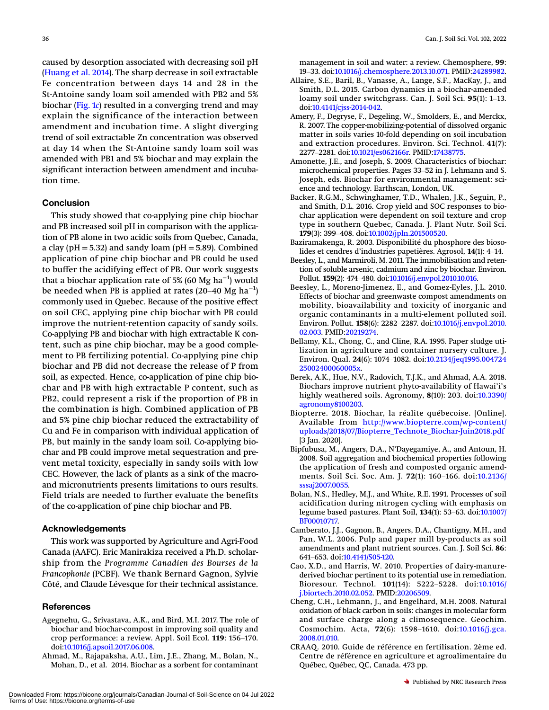caused by desorption associated with decreasing soil pH ([Huang et al. 2014\)](#page-11-30). The sharp decrease in soil extractable Fe concentration between days 14 and 28 in the St-Antoine sandy loam soil amended with PB2 and 5% biochar [\(Fig. 1](#page-4-0)c) resulted in a converging trend and may explain the significance of the interaction between amendment and incubation time. A slight diverging trend of soil extractable Zn concentration was observed at day 14 when the St-Antoine sandy loam soil was amended with PB1 and 5% biochar and may explain the significant interaction between amendment and incubation time.

# **Conclusion**

This study showed that co-applying pine chip biochar and PB increased soil pH in comparison with the application of PB alone in two acidic soils from Quebec, Canada, a clay ( $pH = 5.32$ ) and sandy loam ( $pH = 5.89$ ). Combined application of pine chip biochar and PB could be used<br>to buffer the acidifying effect of PB. Our work suggests<br>that a biochar application rate of 5% (60 Mg ha<sup>−1</sup>) would<br>be needed when PB is applied at rates (20–40 Mg ha<sup></sup> to buffer the acidifying effect of PB. Our work suggests that a biochar application rate of 5% (60 Mg ha $^{\rm -1)}$  would be needed when PB is applied at rates (20–40 Mg  $ha^{-1}$ ) commonly used in Quebec. Because of the positive effect on soil CEC, applying pine chip biochar with PB could improve the nutrient-retention capacity of sandy soils. Co-applying PB and biochar with high extractable K content, such as pine chip biochar, may be a good complement to PB fertilizing potential. Co-applying pine chip biochar and PB did not decrease the release of P from soil, as expected. Hence, co-application of pine chip biochar and PB with high extractable P content, such as PB2, could represent a risk if the proportion of PB in the combination is high. Combined application of PB and 5% pine chip biochar reduced the extractability of Cu and Fe in comparison with individual application of PB, but mainly in the sandy loam soil. Co-applying biochar and PB could improve metal sequestration and prevent metal toxicity, especially in sandy soils with low CEC. However, the lack of plants as a sink of the macroand micronutrients presents limitations to ours results. Field trials are needed to further evaluate the benefits of the co-application of pine chip biochar and PB.

#### Acknowledgements

This work was supported by Agriculture and Agri-Food Canada (AAFC). Eric Manirakiza received a Ph.D. scholarship from the Programme Canadien des Bourses de la Francophonie (PCBF). We thank Bernard Gagnon, Sylvie Côté, and Claude Lévesque for their technical assistance.

#### **References**

- <span id="page-10-9"></span>Agegnehu, G., Srivastava, A.K., and Bird, M.I. 2017. The role of biochar and biochar-compost in improving soil quality and eferences<br>egnehu, G., Srivastava, A.K., and Bird, M.I. 2017. The role of<br>biochar and biochar-compost in improving soil quality and<br>crop performance: a review. Appl. Soil Ecol. 119: 156–170. doi[:10.1016/j.apsoil.2017.06.008.](http://dx.doi.org/10.1016/j.apsoil.2017.06.008)
- <span id="page-10-14"></span>Ahmad, M., Rajapaksha, A.U., Lim, J.E., Zhang, M., Bolan, N., Mohan, D., et al. 2014. Biochar as a sorbent for contaminant

management in soil and water: a review. Chemosphere, 99: Can. J. Soil Sci. Vol. 102, 2022<br>19–33. doi:[10.1016/j.chemosphere.2013.10.071.](http://dx.doi.org/10.1016/j.chemosphere.2013.10.071) PMID:[24289982.](http://dx.doi.org/24289982)<br>19–33. doi:10.1016/j.chemosphere.2013.10.071. PMID:24289982.

- <span id="page-10-6"></span>Allaire, S.E., Baril, B., Vanasse, A., Lange, S.F., MacKay, J., and Smith, D.L. 2015. Carbon dynamics in a biochar-amended 19–33. doi:10.1016/j.chemosphere.2013.10.071. PMID:24289982.<br>laire, S.E., Baril, B., Vanasse, A., Lange, S.F., MacKay, J., and<br>Smith, D.L. 2015. Carbon dynamics in a biochar-amended<br>loamy soil under switchgrass. Can. J. So doi[:10.4141/cjss-2014-042.](http://dx.doi.org/10.4141/cjss-2014-042)
- <span id="page-10-16"></span>Amery, F., Degryse, F., Degeling, W., Smolders, E., and Merckx, R. 2007. The copper-mobilizing-potential of dissolved organic matter in soils varies 10-fold depending on soil incubation and extraction procedures. Environ. Sci. Technol. 41(7): <sup>2277</sup>–2281. doi[:10.1021/es062166r.](http://dx.doi.org/10.1021/es062166r) PMID[:17438775](http://dx.doi.org/17438775). matter in sons varies to tool depending on son includation<br>and extraction procedures. Environ. Sci. Technol. 41(7):<br>2277–2281. doi:10.1021/es062166r. PMID:17438775.<br>nonette, J.E., and Joseph, S. 2009. Characteristics of bi
- <span id="page-10-11"></span>Amonette, J.E., and Joseph, S. 2009. Characteristics of biochar: Joseph, eds. Biochar for environmental management: science and technology. Earthscan, London, UK.
- <span id="page-10-7"></span>Backer, R.G.M., Schwinghamer, T.D., Whalen, J.K., Seguin, P., and Smith, D.L. 2016. Crop yield and SOC responses to bio-<sup>179</sup>(3): 399–408. doi:[10.1002/jpln.201500520.](http://dx.doi.org/10.1002/jpln.201500520) char application were dependent on soil texture and crop type in southern Quebec, Canada. J. Plant Nutr. Soil Sci. lidat application were dependent on son texture and crop<br>type in southern Quebec, Canada. J. Plant Nutr. Soil Sci<br>**179**(3): 399–408. doi:10.1002/jpln.201500520.<br>ziramakenga, R. 2003. Disponibilité du phosphore des bioso<br>li
- <span id="page-10-10"></span>Baziramakenga, R. 2003. Disponibilité du phosphore des bioso-
- <span id="page-10-15"></span>Beesley, L., and Marmiroli, M. 2011. The immobilisation and retention of soluble arsenic, cadmium and zinc by biochar. Environ. lides et cendres d'industries papetières. Agrosol, 14(1): 4–14.<br>esley, L., and Marmiroli, M. 2011. The immobilisation and retention of soluble arsenic, cadmium and zinc by biochar. Environ<br>Pollut. 159(2): 474–480. doi:10.1
- <span id="page-10-1"></span>Beesley, L., Moreno-Jimenez, E., and Gomez-Eyles, J.L. 2010. Effects of biochar and greenwaste compost amendments on<br>Effects of biochar and greenwaste compost amendments on<br>mobility, bioavailability and toxicity of inorganic and<br>organic contaminants in a multi-element polluted soil. mobility, bioavailability and toxicity of inorganic and organic contaminants in a multi-element polluted soil. [02.003](http://dx.doi.org/10.1016/j.envpol.2010.02.003). PMID:[20219274.](http://dx.doi.org/20219274)
- <span id="page-10-17"></span>Bellamy, K.L., Chong, C., and Cline, R.A. 1995. Paper sludge utilization in agriculture and container nursery culture. J. Environ. Fondt. 136(0). 2262–2267. doi.10.1010<sub>/</sub>].envp01.2010.<br>02.003. PMID:20219274.<br>Ilamy, K.L., Chong, C., and Cline, R.A. 1995. Paper sludge uti-<br>lization in agriculture and container nursery culture. J.<br>Environ. Qual [25002400060005x](http://dx.doi.org/10.2134/jeq1995.00472425002400060005x).
- <span id="page-10-5"></span>Berek, A.K., Hue, N.V., Radovich, T.J.K., and Ahmad, A.A. 2018. Biochars improve nutrient phyto-availability of Hawai'i's highly weathered soils. Agronomy, 8(10): 203. doi:[10.3390/](http://dx.doi.org/10.3390/agronomy8100203) [agronomy8100203.](http://dx.doi.org/10.3390/agronomy8100203)
- <span id="page-10-2"></span>Biopterre. 2018. Biochar, la réalite québecoise. [Online]. Available from [http://www.biopterre.com/wp-content/](http://www.biopterre.com/wp-content/uploads/2018/07/Biopterre_Technote_Biochar-Juin2018.pdf) [uploads/2018/07/Biopterre\\_Technote\\_Biochar-Juin2018.pdf](http://www.biopterre.com/wp-content/uploads/2018/07/Biopterre_Technote_Biochar-Juin2018.pdf) [3 Jan. 2020].
- <span id="page-10-4"></span>Bipfubusa, M., Angers, D.A., N'Dayegamiye, A., and Antoun, H. 2008. Soil aggregation and biochemical properties following the application of fresh and composted organic amend-<sub>[5</sub>] Jan. 2020].<br>pfubusa, M., Angers, D.A., N'Dayegamiye, A., and Antoun, H.<br>2008. Soil aggregation and biochemical properties following<br>the application of fresh and composted organic amend-<br>ments. Soil Sci. Soc. Am. J. [sssaj2007.0055](http://dx.doi.org/10.2136/sssaj2007.0055).
- <span id="page-10-0"></span>Bolan, N.S., Hedley, M.J., and White, R.E. 1991. Processes of soil acidification during nitrogen cycling with emphasis on ments. Soil Sci. Soc. Am. J. 72(1): 160–166. doi:10.2136/<br>sssaj2007.0055.<br>lan, N.S., Hedley, M.J., and White, R.E. 1991. Processes of soil<br>acidification during nitrogen cycling with emphasis on<br>legume based pastures. Plant [BF00010717.](http://dx.doi.org/10.1007/BF00010717)
- <span id="page-10-12"></span>Expository, Camberato, J.J., Gagnon, B., Angers, D.A., Chantigny, M.H., and Pan, W.L. 2006. Pulp and paper mill by-products as soil amendments and plant nutrient sources. Can. J. Soil Sci. 86: 641–653. doi[:10.4141/S05-120.](http://dx.doi.org/10.4141/S05-120) Pan, W.L. 2006. Pulp and paper mill by-products as soil amendments and plant nutrient sources. Can. J. Soil Sci. 86:
- <span id="page-10-8"></span>Cao, X.D., and Harris, W. 2010. Properties of dairy-manurederived biochar pertinent to its potential use in remediation. amenuments and plant nutrient sources. Can. j. son sci. **oo**.<br>641–653. doi:10.4141/805-120.<br>o, X.D., and Harris, W. 2010. Properties of dairy-manure-<br>derived biochar pertinent to its potential use in remediation.<br>Bioresour [j.biortech.2010.02.052.](http://dx.doi.org/10.1016/j.biortech.2010.02.052) PMID:[20206509.](http://dx.doi.org/20206509)
- <span id="page-10-3"></span>The Cheng, C.H., Lehmann, J., and Engelhard, M.H. 2008. Natural<br>Cheng, C.H., Lehmann, J., and Engelhard, M.H. 2008. Natural<br>oxidation of black carbon in soils: changes in molecular form<br>and surface charge along a climosequ oxidation of black carbon in soils: changes in molecular form and surface charge along a climosequence. Geochim. [2008.01.010](http://dx.doi.org/10.1016/j.gca.2008.01.010).
- <span id="page-10-13"></span>CRAAQ. 2010. Guide de référence en fertilisation. 2ème ed. Centre de référence en agriculture et agroalimentaire du Québec, Québec, QC, Canada. 473 pp.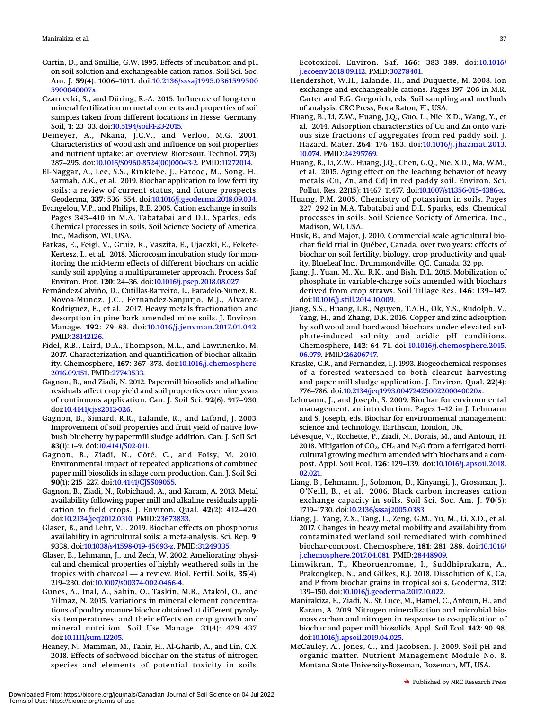- <span id="page-11-15"></span>Curtin, D., and Smillie, G.W. 1995. Effects of incubation and pH on soil solution and exchangeable cation ratios. Soil Sci. Soc. rtin, D., and Smillie, G.W. 1995. Effects of incubation and pH<br>on soil solution and exchangeable cation ratios. Soil Sci. Soc.<br>Am. J. **59**(4): 1006–1011. doi:[10.2136/sssaj1995.0361599500](http://dx.doi.org/10.2136/sssaj1995.03615995005900040007x) [5900040007x](http://dx.doi.org/10.2136/sssaj1995.03615995005900040007x).
- <span id="page-11-17"></span>Czarnecki, S., and Düring, R.-A. 2015. Influence of long-term<br>mineral fertilization on metal contents and properties of soil<br>samples taken from different locations in Hesse, Germany.<br>Soil, 1: 23–33. doi:10.5194/soil-1-23-2 mineral fertilization on metal contents and properties of soil samples taken from different locations in Hesse, Germany.
- <span id="page-11-10"></span>Bemeyer, A., Nkana, J.C.V., and Verloo, M.G. 2001.<br>Characteristics of wood ash and influence on soil properties<br>and nutrient uptake: an overview. Bioresour. Technol. 77(3):<br>287–295. doi:[10.1016/S0960-8524\(00\)00043-2.](http://dx.doi.org/10.1016/S0960-8524(00)00043-2) PMID: Characteristics of wood ash and influence on soil properties and nutrient uptake: an overview. Bioresour. Technol. 77(3):
- <span id="page-11-23"></span>El-Naggar, A., Lee, S.S., Rinklebe, J., Farooq, M., Song, H., Sarmah, A.K., et al. 2019. Biochar application to low fertility soils: a review of current status, and future prospects. 267–255. doi.10.1016/50500 6524(60/60045-2.1 Mm.112/2014.<br>Naggar, A., Lee, S.S., Rinklebe, J., Farooq, M., Song, H.,<br>Sarmah, A.K., et al. 2019. Biochar application to low fertility<br>soils: a review of current status, and fu Saman, A.R., et al. 2012. Biochar application to low refuncy<br>soils: a review of current status, and future prospects.<br>Geoderma, 337: 536–554. doi:10.1016/j.geoderma.2018.09.034.<br>angelou, V.P., and Philips, R.E. 2005. Catio
- <span id="page-11-11"></span>Evangelou, V.P., and Philips, R.E. 2005. Cation exchange in soils. Chemical processes in soils. Soil Science Society of America, Inc., Madison, WI, USA.
- <span id="page-11-28"></span>Farkas, E., Feigl, V., Gruiz, K., Vaszita, E., Ujaczki, E., Fekete-Kertesz, I., et al. 2018. Microcosm incubation study for monitoring the mid-term effects of different biochars on acidic sandy soil applying a multiparameter approach. Process Saf. Environ. Prot. <sup>120</sup>: 24–36. doi:[10.1016/j.psep.2018.08.027.](http://dx.doi.org/10.1016/j.psep.2018.08.027)
- <span id="page-11-6"></span>Fernández-Calviño, D., Cutillas-Barreiro, L., Paradelo-Nunez, R., Movoa-Munoz, J.C., Fernandez-Sanjurjo, M.J., Alvarez-Rodriguez, E., et al. 2017. Heavy metals fractionation and desorption in pine bark amended mine soils. J. Environ.<br>Manage. 192: 79–88. doi:[10.1016/j.jenvman.2017.01.042.](http://dx.doi.org/10.1016/j.jenvman.2017.01.042) Rodriguez, E., et al. 2017. Heavy metals fractionation and desorption in pine bark amended mine soils. J. Environ. PMID:[28142126.](http://dx.doi.org/28142126)
- <span id="page-11-0"></span>Fidel, R.B., Laird, D.A., Thompson, M.L., and Lawrinenko, M. 2017. Characterization and quantification of biochar alkalinmanage. 192. 79–66. doi.10.1010<sub>f</sub>j.jenvman.2017.01.042.<br>PMID:28142126.<br>2017. Characterization and quantification of biochar alkalin-<br>1917. Chemosphere, **167**: 367–373. doi:[10.1016/j.chemosphere.](http://dx.doi.org/10.1016/j.chemosphere.2016.09.151) [2016.09.151](http://dx.doi.org/10.1016/j.chemosphere.2016.09.151). PMID:[27743533.](http://dx.doi.org/27743533)
- <span id="page-11-1"></span>Gagnon, B., and Ziadi, N. 2012. Papermill biosolids and alkaline residuals affect crop yield and soil properties over nine years ity. Chemosphere, **167**: 367–373. doi:10.1016/j.chemosphere.<br>2016.09.151. PMID:27743533.<br>gnon, B., and Ziadi, N. 2012. Papermill biosolids and alkaline<br>residuals affect crop yield and soil properties over nine years<br>of con doi[:10.4141/cjss2012-026.](http://dx.doi.org/10.4141/cjss2012-026)
- <span id="page-11-2"></span>Gagnon, B., Simard, R.R., Lalande, R., and Lafond, J. 2003.<br>
Improvement of soil properties and fruit yield of native low-<br>
bush blueberry by papermill sludge addition. Can. J. Soil Sci.<br> **83(1):** 1–9. doi:[10.4141/S02-011.](http://dx.doi.org/10.4141/S02-011) Improvement of soil properties and fruit yield of native lowbush blueberry by papermill sludge addition. Can. J. Soil Sci.
- <span id="page-11-3"></span>Gagnon, B., Ziadi, N., Côté, C., and Foisy, M. 2010.<br>
Environmental impact of repeated applications of combined<br>
paper mill biosolids in silage corn production. Can. J. Soil Sci.<br> **90**(1): 215–227. doi[:10.4141/CJSS09055.](http://dx.doi.org/10.4141/CJSS09055) Environmental impact of repeated applications of combined paper mill biosolids in silage corn production. Can. J. Soil Sci.
- <span id="page-11-19"></span>Gagnon, B., Ziadi, N., Robichaud, A., and Karam, A. 2013. Metal availability following paper mill and alkaline residuals appli-90(1): 215–227. doi:10.4141/CJSS09055.<br>90(1): 215–227. doi:10.4141/CJSS09055.<br>gnon, B., Ziadi, N., Robichaud, A., and Karam, A. 2013. Metal<br>availability following paper mill and alkaline residuals appli-<br>cation to field cr doi[:10.2134/jeq2012.0310.](http://dx.doi.org/10.2134/jeq2012.0310) PMID:[23673833.](http://dx.doi.org/23673833)
- <span id="page-11-16"></span>Glaser, B., and Lehr, V.I. 2019. Biochar effects on phosphorus availability in agricultural soils: a meta-analysis. Sci. Rep. 9: 9338. doi:[10.1038/s41598-019-45693-z](http://dx.doi.org/10.1038/s41598-019-45693-z). PMID:[31249335.](http://dx.doi.org/31249335)
- <span id="page-11-25"></span>Glaser, B., Lehmann, J., and Zech, W. 2002. Ameliorating physical and chemical properties of highly weathered soils in the avanabiny in agricultural sons. a filed analysis. Ser. Rep. 2.<br>9338. doi:10.1038/s41598-019-45693-z. PMID:31249335.<br>saer, B., Lehmann, J., and Zech, W. 2002. Ameliorating physical and chemical properties of highly weathere 2000. doi:10.1009<br>
aser, B., Lehmann, J., and Zech, W. 2002<br>
cal and chemical properties of highly v<br>
tropics with charcoal — a review. Bio<br>
219–230. doi:[10.1007/s00374-002-0466-4](http://dx.doi.org/10.1007/s00374-002-0466-4).
- <span id="page-11-27"></span>Gunes, A., Inal, A., Sahin, O., Taskin, M.B., Atakol, O., and Yilmaz, N. 2015. Variations in mineral element concentra-mineral nutrition. Soil Use Manage. <sup>31</sup>(4): 429–437. tions of poultry manure biochar obtained at different pyrolysis temperatures, and their effects on crop growth and doi[:10.1111/sum.12205.](http://dx.doi.org/10.1111/sum.12205)
- <span id="page-11-13"></span>Heaney, N., Mamman, M., Tahir, H., Al-Gharib, A., and Lin, C.X. 2018. Effects of softwood biochar on the status of nitrogen species and elements of potential toxicity in soils.

<sup>37</sup><br>Ecotoxicol. Environ. Saf. 166: 383–389. doi:[10.1016/](http://dx.doi.org/10.1016/j.ecoenv.2018.09.112) [j.ecoenv.2018.09.112](http://dx.doi.org/10.1016/j.ecoenv.2018.09.112). PMID:[30278401.](http://dx.doi.org/30278401)

- <span id="page-11-30"></span>Hendershot, W.H., Lalande, H., and Duquette, M. 2008. Ion Ecotoxicol. Environ. Saf. **166**: 383–389. doi:10.1016<br>j.ecoenv.2018.09.112. PMID:30278401.<br>ndershot, W.H., Lalande, H., and Duquette, M. 2008. Ion<br>exchange and exchangeable cations. Pages 197–206 in M.R. Carter and E.G. Gregorich, eds. Soil sampling and methods of analysis. CRC Press, Boca Raton, FL, USA.
- <span id="page-11-29"></span>Huang, B., Li, Z.W., Huang, J.Q., Guo, L., Nie, X.D., Wang, Y., et Hazard. Mater. <sup>264</sup>: 176–183. doi:[10.1016/j.jhazmat.2013.](http://dx.doi.org/10.1016/j.jhazmat.2013.10.074) al. 2014. Adsorption characteristics of Cu and Zn onto various size fractions of aggregates from red paddy soil. J. [10.074.](http://dx.doi.org/10.1016/j.jhazmat.2013.10.074) PMID[:24295769.](http://dx.doi.org/24295769)
- <span id="page-11-24"></span>Huang, B., Li, Z.W., Huang, J.Q., Chen, G.Q., Nie, X.D., Ma, W.M., et al. 2015. Aging effect on the leaching behavior of heavy metals (Cu, Zn, and Cd) in red paddy soil. Environ. Sci. Pollut. Res. 22(15): 11467–11477. doi: et al. 2015. Aging effect on the leaching behavior of heavy metals (Cu, Zn, and Cd) in red paddy soil. Environ. Sci.
- <span id="page-11-5"></span>Huang, P.M. 2005. Chemistry of potassium in soils. Pages Pollut. Res. 22(15): 11467–11477. doi:10.1007/s11356-015-4386-x.<br>1ang, P.M. 2005. Chemistry of potassium in soils. Pages<br>227–292 in M.A. Tabatabai and D.L. Sparks, eds. Chemical processes in soils. Soil Science Society of America, Inc., Madison, WI, USA.
- <span id="page-11-20"></span>Husk, B., and Major, J. 2010. Commercial scale agricultural biochar field trial in Québec, Canada, over two years: effects of biochar on soil fertility, biology, crop productivity and quality. BlueLeaf Inc., Drummondville, QC, Canada. 32 pp.
- <span id="page-11-26"></span>Jiang, J., Yuan, M., Xu, R.K., and Bish, D.L. 2015. Mobilization of phosphate in variable-charge soils amended with biochars blochar on son icruncy, bloogy, crop productivity and quarity. BlueLeaf Inc., Drummondville, QC, Canada. 32 pp.<br>ng, J., Yuan, M., Xu, R.K., and Bish, D.L. 2015. Mobilization of<br>phosphate in variable-charge soils amended wi doi[:10.1016/j.still.2014.10.009.](http://dx.doi.org/10.1016/j.still.2014.10.009)
- <span id="page-11-18"></span>Jiang, S.S., Huang, L.B., Nguyen, T.A.H., Ok, Y.S., Rudolph, V., Yang, H., and Zhang, D.K. 2016. Copper and zinc adsorption by softwood and hardwood biochars under elevated sulphate-induced salinity and acidic pH conditions. ng, 9.5., Huang, E.B., Ngayen, 1981.<br>Yang, H., and Zhang, D.K. 2016. Copper and zinc adsorption<br>by softwood and hardwood biochars under elevated sul-<br>phate-induced salinity and acidic pH conditions.<br>Chemosphere, 142: 64–71 [06.079.](http://dx.doi.org/10.1016/j.chemosphere.2015.06.079) PMID[:26206747.](http://dx.doi.org/26206747)
- <span id="page-11-4"></span>Kraske, C.R., and Fernandez, I.J. 1993. Biogeochemical responses of a forested watershed to both clearcut harvesting and paper mill sludge application. J. Environ. Qual. 22(4): 00.07.2.1MD.20200747.<br>aske, C.R., and Fernandez, I.J. 1993. Biogeochemical resp<br>of a forested watershed to both clearcut harv<br>and paper mill sludge application. J. Environ. Qual.<br>776–786. doi:10.2134/jeq1993.00472425002200 or a forested watershed to both cleared harvesting<br>and paper mill sludge application. J. Environ. Qual. 22(4):<br>776–786. doi:10.2134/jeq1993.00472425002200040020x.<br>hmann, J., and Joseph, S. 2009. Biochar for environmental<br>m
- <span id="page-11-21"></span>Lehmann, J., and Joseph, S. 2009. Biochar for environmental and S. Joseph, eds. Biochar for environmental management: science and technology. Earthscan, London, UK.
- <span id="page-11-7"></span>Lévesque, V., Rochette, P., Ziadi, N., Dorais, M., and Antoun, H.<br>
2018. Mitigation of CO<sub>2</sub>, CH<sub>4</sub> and N<sub>2</sub>O from a fertigated horticultural growing medium amended with biochars and a compost. Appl. Soil Ecol. **126**: **129** 2018. Mitigation of  $CO<sub>2</sub>$ , CH<sub>4</sub> and N<sub>2</sub>O from a fertigated horticultural growing medium amended with biochars and a com-[02.021](http://dx.doi.org/10.1016/j.apsoil.2018.02.021).
- <span id="page-11-8"></span>Uang, B., Lehmann, J., Solomon, D., Kinyangi, J., Grossman, J., O'Neill, B., et al. 2006. Black carbon increases cation exchange capacity in soils. Soil Sci. Soc. Am. J. 70(5): 1719–1730. doi[:10.2136/sssaj2005.0383](http://dx.doi.org/10.2136/sssaj2005.0383). O'Neill, B., et al. 2006. Black carbon increases cation exchange capacity in soils. Soil Sci. Soc. Am. J. 70(5):
- <span id="page-11-9"></span>Liang, J., Yang, Z.X., Tang, L., Zeng, G.M., Yu, M., Li, X.D., et al. biochar-compost. Chemosphere, <sup>181</sup>: 281–288. doi:[10.1016/](http://dx.doi.org/10.1016/j.chemosphere.2017.04.081) 2017. Changes in heavy metal mobility and availability from contaminated wetland soil remediated with combined [j.chemosphere.2017.04.081.](http://dx.doi.org/10.1016/j.chemosphere.2017.04.081) PMID[:28448909.](http://dx.doi.org/28448909)
- <span id="page-11-12"></span>Limwikran, T., Kheoruenromne, I., Suddhiprakarn, A., Prakongkep, N., and Gilkes, R.J. 2018. Dissolution of K, Ca, and P from biochar grains in tropical soils. Geoderma, 312: <sup>139</sup>–150. doi:[10.1016/j.geoderma.2017.10.022.](http://dx.doi.org/10.1016/j.geoderma.2017.10.022)
- <span id="page-11-22"></span>Manirakiza, E., Ziadi, N., St. Luce, M., Hamel, C., Antoun, H., and Karam, A. 2019. Nitrogen mineralization and microbial biomass carbon and nitrogen in response to co-application of biochar and paper mill biosolids. Appl. Karam, A. 2019. Nitrogen mineralization and microbial biomass carbon and nitrogen in response to co-application of doi[:10.1016/j.apsoil.2019.04.025.](http://dx.doi.org/10.1016/j.apsoil.2019.04.025)
- <span id="page-11-14"></span>McCauley, A., Jones, C., and Jacobsen, J. 2009. Soil pH and organic matter. Nutrient Management Module No. 8. Montana State University-Bozeman, Bozeman, MT, USA.